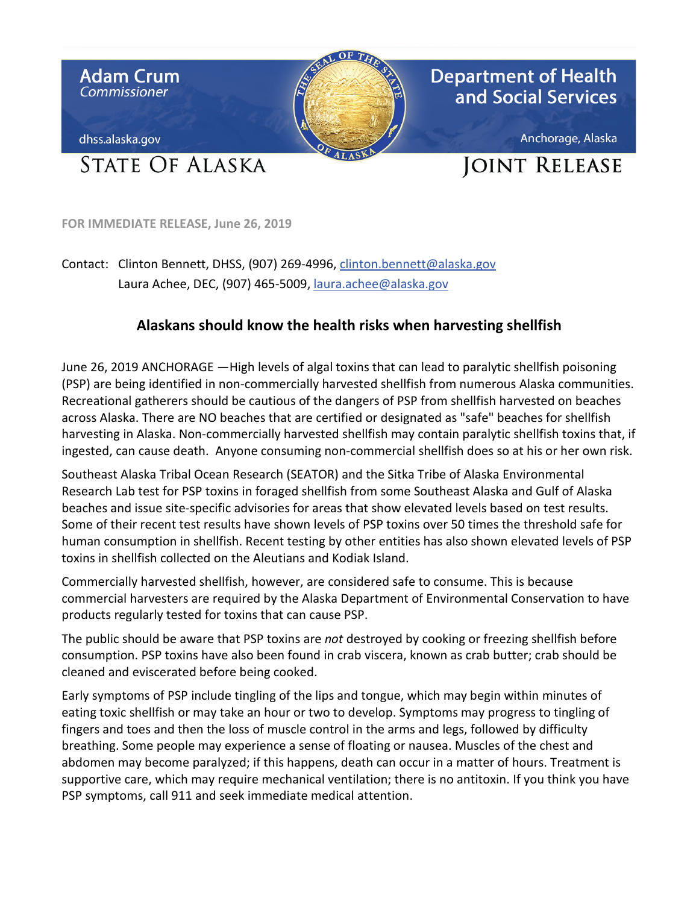

**FOR IMMEDIATE RELEASE, June 26, 2019** 

Laura Achee, DEC, (907) 465-5009, laura.achee@alaska.gov Contact: Clinton Bennett, DHSS, (907) 269-4996[, clinton.bennett@alaska.gov](mailto:clinton.bennett@alaska.gov) 

## **Alaskans should know the health risks when harvesting shellfish**

 June 26, 2019 ANCHORAGE —High levels of algal toxins that can lead to paralytic shellfish poisoning Recreational gatherers should be cautious of the dangers of PSP from shellfish harvested on beaches across Alaska. There are NO beaches that are certified or designated as "safe" beaches for shellfish (PSP) are being identified in non-commercially harvested shellfish from numerous Alaska communities. harvesting in Alaska. Non-commercially harvested shellfish may contain paralytic shellfish toxins that, if ingested, can cause death. Anyone consuming non-commercial shellfish does so at his or her own risk.

 Southeast Alaska Tribal Ocean Research (SEATOR) and the Sitka Tribe of Alaska Environmental beaches and issue site-specific advisories for areas that show elevated levels based on test results. Some of their recent test results have shown levels of PSP toxins over 50 times the threshold safe for human consumption in shellfish. Recent testing by other entities has also shown elevated levels of PSP toxins in shellfish collected on the Aleutians and Kodiak Island. Research Lab test for PSP toxins in foraged shellfish from some Southeast Alaska and Gulf of Alaska

products regularly tested for toxins that can cause PSP. Commercially harvested shellfish, however, are considered safe to consume. This is because commercial harvesters are required by the Alaska Department of Environmental Conservation to have

products regularly tested for toxins that can cause PSP.<br>The public should be aware that PSP toxins are *not* destroyed by cooking or freezing shellfish before consumption. PSP toxins have also been found in crab viscera, known as crab butter; crab should be cleaned and eviscerated before being cooked.

 fingers and toes and then the loss of muscle control in the arms and legs, followed by difficulty breathing. Some people may experience a sense of floating or nausea. Muscles of the chest and supportive care, which may require mechanical ventilation; there is no antitoxin. If you think you have Early symptoms of PSP include tingling of the lips and tongue, which may begin within minutes of eating toxic shellfish or may take an hour or two to develop. Symptoms may progress to tingling of abdomen may become paralyzed; if this happens, death can occur in a matter of hours. Treatment is PSP symptoms, call 911 and seek immediate medical attention.